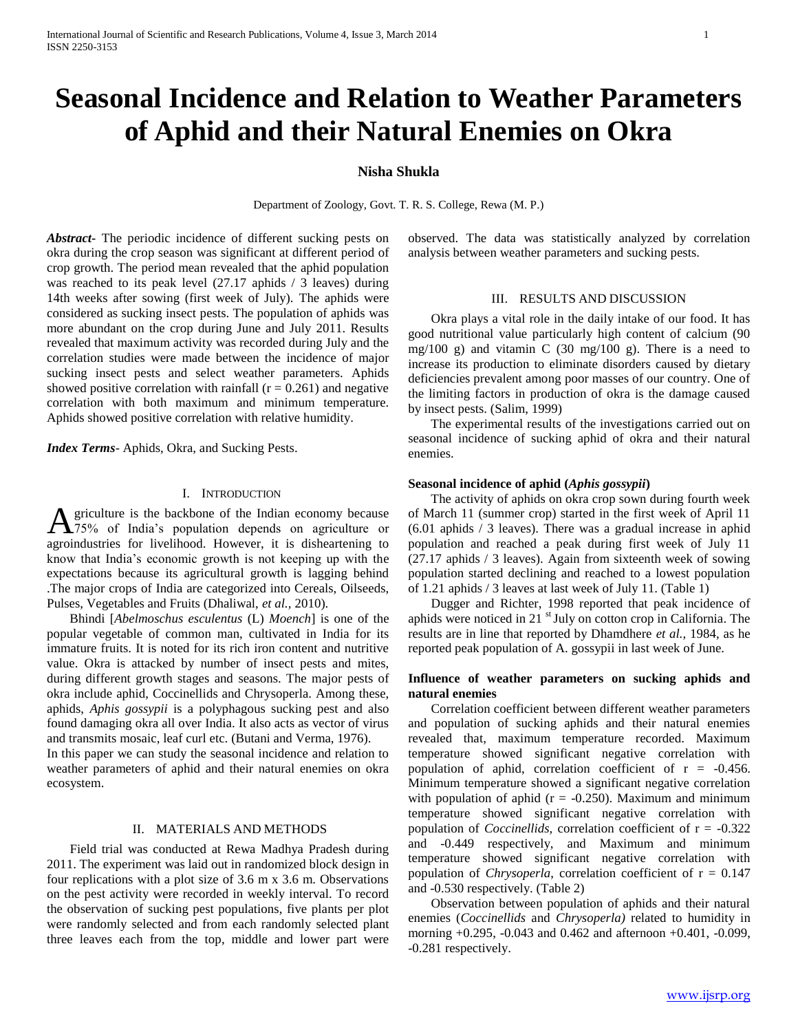# **Seasonal Incidence and Relation to Weather Parameters of Aphid and their Natural Enemies on Okra**

# **Nisha Shukla**

Department of Zoology, Govt. T. R. S. College, Rewa (M. P.)

*Abstract***-** The periodic incidence of different sucking pests on okra during the crop season was significant at different period of crop growth. The period mean revealed that the aphid population was reached to its peak level (27.17 aphids / 3 leaves) during 14th weeks after sowing (first week of July). The aphids were considered as sucking insect pests. The population of aphids was more abundant on the crop during June and July 2011. Results revealed that maximum activity was recorded during July and the correlation studies were made between the incidence of major sucking insect pests and select weather parameters. Aphids showed positive correlation with rainfall  $(r = 0.261)$  and negative correlation with both maximum and minimum temperature. Aphids showed positive correlation with relative humidity.

*Index Terms*- Aphids, Okra, and Sucking Pests.

### I. INTRODUCTION

griculture is the backbone of the Indian economy because 75% of India's population depends on agriculture or **A**griculture is the backbone of the Indian economy because<br>agroindustries for livelihood. However, it is disheartening to know that India's economic growth is not keeping up with the expectations because its agricultural growth is lagging behind .The major crops of India are categorized into Cereals, Oilseeds, Pulses, Vegetables and Fruits (Dhaliwal, *et al.,* 2010).

 Bhindi [*Abelmoschus esculentus* (L) *Moench*] is one of the popular vegetable of common man, cultivated in India for its immature fruits. It is noted for its rich iron content and nutritive value. Okra is attacked by number of insect pests and mites, during different growth stages and seasons. The major pests of okra include aphid, Coccinellids and Chrysoperla. Among these, aphids, *Aphis gossypii* is a polyphagous sucking pest and also found damaging okra all over India. It also acts as vector of virus and transmits mosaic, leaf curl etc. (Butani and Verma, 1976).

In this paper we can study the seasonal incidence and relation to weather parameters of aphid and their natural enemies on okra ecosystem.

## II. MATERIALS AND METHODS

 Field trial was conducted at Rewa Madhya Pradesh during 2011. The experiment was laid out in randomized block design in four replications with a plot size of 3.6 m x 3.6 m. Observations on the pest activity were recorded in weekly interval. To record the observation of sucking pest populations, five plants per plot were randomly selected and from each randomly selected plant three leaves each from the top, middle and lower part were

observed. The data was statistically analyzed by correlation analysis between weather parameters and sucking pests.

#### III. RESULTS AND DISCUSSION

 Okra plays a vital role in the daily intake of our food. It has good nutritional value particularly high content of calcium (90 mg/100 g) and vitamin C (30 mg/100 g). There is a need to increase its production to eliminate disorders caused by dietary deficiencies prevalent among poor masses of our country. One of the limiting factors in production of okra is the damage caused by insect pests. (Salim, 1999)

 The experimental results of the investigations carried out on seasonal incidence of sucking aphid of okra and their natural enemies.

#### **Seasonal incidence of aphid (***Aphis gossypii***)**

 The activity of aphids on okra crop sown during fourth week of March 11 (summer crop) started in the first week of April 11 (6.01 aphids / 3 leaves). There was a gradual increase in aphid population and reached a peak during first week of July 11 (27.17 aphids / 3 leaves). Again from sixteenth week of sowing population started declining and reached to a lowest population of 1.21 aphids / 3 leaves at last week of July 11. (Table 1)

 Dugger and Richter, 1998 reported that peak incidence of aphids were noticed in 21 $\mathrm{^{st}}$  July on cotton crop in California. The results are in line that reported by Dhamdhere *et al.,* 1984, as he reported peak population of A. gossypii in last week of June.

## **Influence of weather parameters on sucking aphids and natural enemies**

 Correlation coefficient between different weather parameters and population of sucking aphids and their natural enemies revealed that, maximum temperature recorded. Maximum temperature showed significant negative correlation with population of aphid, correlation coefficient of  $r = -0.456$ . Minimum temperature showed a significant negative correlation with population of aphid ( $r = -0.250$ ). Maximum and minimum temperature showed significant negative correlation with population of *Coccinellids,* correlation coefficient of r = -0.322 and -0.449 respectively, and Maximum and minimum temperature showed significant negative correlation with population of *Chrysoperla*, correlation coefficient of  $r = 0.147$ and -0.530 respectively. (Table 2)

 Observation between population of aphids and their natural enemies (*Coccinellids* and *Chrysoperla)* related to humidity in morning +0.295, -0.043 and 0.462 and afternoon +0.401, -0.099, -0.281 respectively.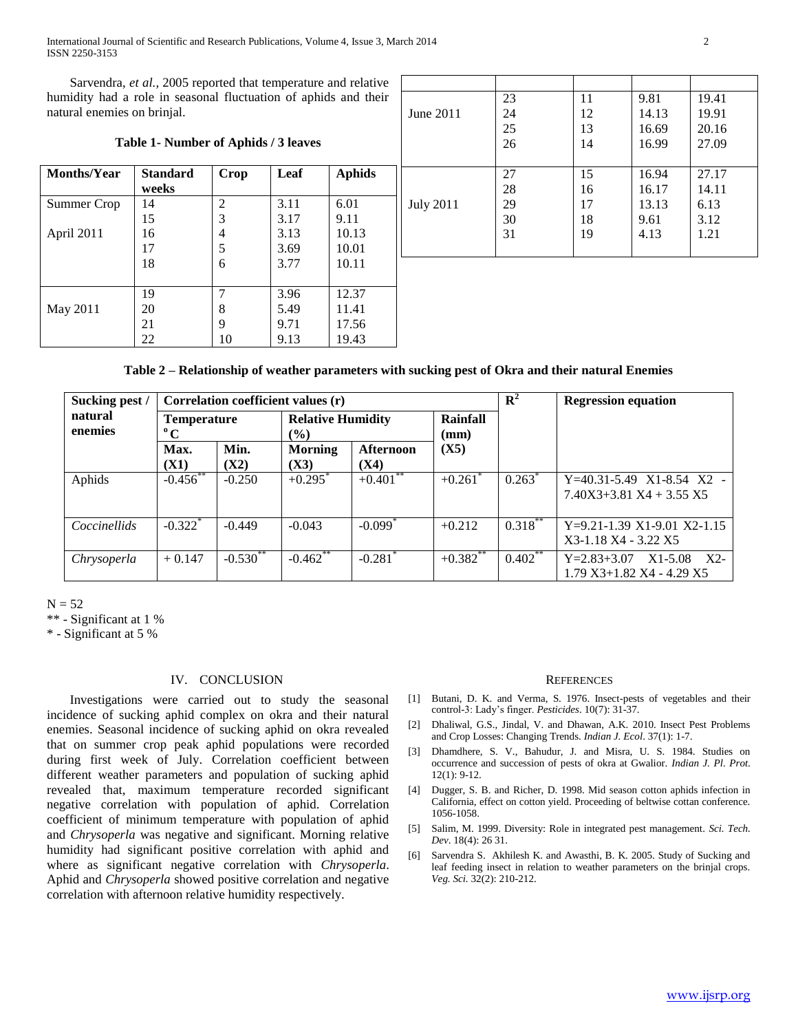International Journal of Scientific and Research Publications, Volume 4, Issue 3, March 2014 2 ISSN 2250-3153

 Sarvendra, *et al.,* 2005 reported that temperature and relative humidity had a role in seasonal fluctuation of aphids and their natural enemies on brinjal.

| Table 1- Number of Aphids / 3 leaves |                          |                |      |               |  |  |
|--------------------------------------|--------------------------|----------------|------|---------------|--|--|
| <b>Months/Year</b>                   | <b>Standard</b><br>weeks | Crop           | Leaf | <b>Aphids</b> |  |  |
| Summer Crop                          | 14                       | $\overline{2}$ | 3.11 | 6.01          |  |  |
|                                      | 15                       | 3              | 3.17 | 9.11          |  |  |
| April 2011                           | 16                       | 4              | 3.13 | 10.13         |  |  |
|                                      | 17                       | 5              | 3.69 | 10.01         |  |  |
|                                      | 18                       | 6              | 3.77 | 10.11         |  |  |
|                                      |                          |                |      |               |  |  |
|                                      | 19                       | 7              | 3.96 | 12.37         |  |  |
| May 2011                             | 20                       | 8              | 5.49 | 11.41         |  |  |
|                                      | 21                       | 9              | 9.71 | 17.56         |  |  |
|                                      | 22                       | 10             | 9.13 | 19.43         |  |  |

| 23 | 11 | 9.81  | 19.41 |
|----|----|-------|-------|
| 24 | 12 | 14.13 | 19.91 |
| 25 | 13 | 16.69 | 20.16 |
| 26 | 14 | 16.99 | 27.09 |
|    |    |       |       |
| 27 | 15 | 16.94 | 27.17 |
| 28 | 16 | 16.17 | 14.11 |
| 29 | 17 | 13.13 | 6.13  |
| 30 | 18 | 9.61  | 3.12  |
| 31 | 19 | 4.13  | 1.21  |
|    |    |       |       |
|    |    |       |       |

|  |  |  | Table 2 – Relationship of weather parameters with sucking pest of Okra and their natural Enemies |
|--|--|--|--------------------------------------------------------------------------------------------------|
|  |  |  |                                                                                                  |

| Sucking pest /                    | Correlation coefficient values (r) |                                                  |                        |                          | ${\bf R}^2$           | <b>Regression equation</b> |                                                                     |
|-----------------------------------|------------------------------------|--------------------------------------------------|------------------------|--------------------------|-----------------------|----------------------------|---------------------------------------------------------------------|
| natural<br>enemies<br>$\rm ^{o}C$ |                                    | <b>Temperature</b><br>$\left(\frac{0}{0}\right)$ |                        | <b>Relative Humidity</b> |                       |                            |                                                                     |
|                                   | Max.<br>(X1)                       | Min.<br>(X2)                                     | <b>Morning</b><br>(X3) | Afternoon<br>(X4)        | (X5)                  |                            |                                                                     |
| Aphids                            | $-0.456$ **                        | $-0.250$                                         | $+0.295$ <sup>*</sup>  | $+0.401$ **              | $+0.261$ <sup>*</sup> | $0.263^*$                  | $Y=40.31-5.49$ X1-8.54 X2 -<br>$7.40X3+3.81X4+3.55X5$               |
| Coccinellids                      | $-0.322$ <sup>*</sup>              | $-0.449$                                         | $-0.043$               | $-0.099$ <sup>*</sup>    | $+0.212$              | $0.318***$                 | $Y=9.21-1.39 X1-9.01 X2-1.15$<br>X3-1.18 X4 - 3.22 X5               |
| Chrysoperla                       | $+0.147$                           | $-0.530$ **                                      | $-0.462$ **            | $-0.281$ <sup>*</sup>    | $+0.382$ **           | $0.402$ **                 | $X1-5.08$ $X2-$<br>$Y = 2.83 + 3.07$<br>$1.79 X3+1.82 X4 - 4.29 X5$ |

 $N = 52$ 

\*\* - Significant at 1 %

\* - Significant at 5 %

#### IV. CONCLUSION

 Investigations were carried out to study the seasonal incidence of sucking aphid complex on okra and their natural enemies. Seasonal incidence of sucking aphid on okra revealed that on summer crop peak aphid populations were recorded during first week of July. Correlation coefficient between different weather parameters and population of sucking aphid revealed that, maximum temperature recorded significant negative correlation with population of aphid. Correlation coefficient of minimum temperature with population of aphid and *Chrysoperla* was negative and significant. Morning relative humidity had significant positive correlation with aphid and where as significant negative correlation with *Chrysoperla*. Aphid and *Chrysoperla* showed positive correlation and negative correlation with afternoon relative humidity respectively.

#### **REFERENCES**

- [1] Butani, D. K. and Verma, S. 1976. Insect-pests of vegetables and their control-3: Lady's finger. *Pesticides*. 10(7): 31-37.
- [2] Dhaliwal, G.S., Jindal, V. and Dhawan, A.K. 2010. Insect Pest Problems and Crop Losses: Changing Trends. *Indian J. Ecol*. 37(1): 1-7.
- [3] Dhamdhere, S. V., Bahudur, J. and Misra, U. S. 1984. Studies on occurrence and succession of pests of okra at Gwalior. *Indian J. Pl. Prot*. 12(1): 9-12.
- [4] Dugger, S. B. and Richer, D. 1998. Mid season cotton aphids infection in California, effect on cotton yield. Proceeding of beltwise cottan conference. 1056-1058.
- [5] Salim, M. 1999. Diversity: Role in integrated pest management. *Sci. Tech. Dev*. 18(4): 26 31.
- [6] Sarvendra S. Akhilesh K. and Awasthi, B. K. 2005. Study of Sucking and leaf feeding insect in relation to weather parameters on the brinjal crops. *Veg. Sci.* 32(2): 210-212.